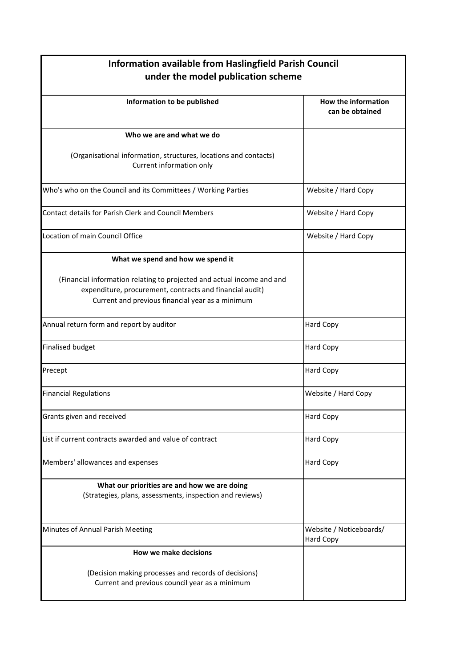| <b>Information available from Haslingfield Parish Council</b><br>under the model publication scheme                                                                                    |                                        |
|----------------------------------------------------------------------------------------------------------------------------------------------------------------------------------------|----------------------------------------|
| Information to be published                                                                                                                                                            | How the information<br>can be obtained |
| Who we are and what we do                                                                                                                                                              |                                        |
| (Organisational information, structures, locations and contacts)<br>Current information only                                                                                           |                                        |
| Who's who on the Council and its Committees / Working Parties                                                                                                                          | Website / Hard Copy                    |
| <b>Contact details for Parish Clerk and Council Members</b>                                                                                                                            | Website / Hard Copy                    |
| Location of main Council Office                                                                                                                                                        | Website / Hard Copy                    |
| What we spend and how we spend it                                                                                                                                                      |                                        |
| (Financial information relating to projected and actual income and and<br>expenditure, procurement, contracts and financial audit)<br>Current and previous financial year as a minimum |                                        |
| Annual return form and report by auditor                                                                                                                                               | <b>Hard Copy</b>                       |
| <b>Finalised budget</b>                                                                                                                                                                | Hard Copy                              |
| Precept                                                                                                                                                                                | Hard Copy                              |
| <b>Financial Regulations</b>                                                                                                                                                           | Website / Hard Copy                    |
| Grants given and received                                                                                                                                                              | <b>Hard Copy</b>                       |
| List if current contracts awarded and value of contract                                                                                                                                | Hard Copy                              |
| Members' allowances and expenses                                                                                                                                                       | Hard Copy                              |
| What our priorities are and how we are doing<br>(Strategies, plans, assessments, inspection and reviews)                                                                               |                                        |
| Minutes of Annual Parish Meeting                                                                                                                                                       | Website / Noticeboards/<br>Hard Copy   |
| <b>How we make decisions</b>                                                                                                                                                           |                                        |
| (Decision making processes and records of decisions)<br>Current and previous council year as a minimum                                                                                 |                                        |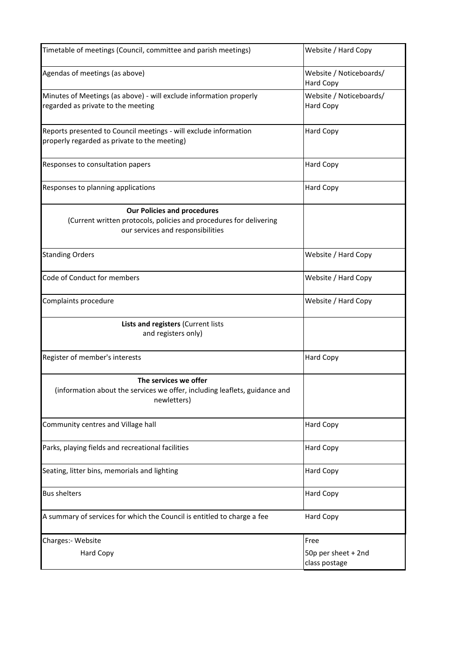| Timetable of meetings (Council, committee and parish meetings)                                                                                | Website / Hard Copy                          |
|-----------------------------------------------------------------------------------------------------------------------------------------------|----------------------------------------------|
| Agendas of meetings (as above)                                                                                                                | Website / Noticeboards/<br>Hard Copy         |
| Minutes of Meetings (as above) - will exclude information properly<br>regarded as private to the meeting                                      | Website / Noticeboards/<br>Hard Copy         |
| Reports presented to Council meetings - will exclude information<br>properly regarded as private to the meeting)                              | <b>Hard Copy</b>                             |
| Responses to consultation papers                                                                                                              | <b>Hard Copy</b>                             |
| Responses to planning applications                                                                                                            | Hard Copy                                    |
| <b>Our Policies and procedures</b><br>(Current written protocols, policies and procedures for delivering<br>our services and responsibilities |                                              |
| <b>Standing Orders</b>                                                                                                                        | Website / Hard Copy                          |
| Code of Conduct for members                                                                                                                   | Website / Hard Copy                          |
| Complaints procedure                                                                                                                          | Website / Hard Copy                          |
| Lists and registers (Current lists<br>and registers only)                                                                                     |                                              |
| Register of member's interests                                                                                                                | <b>Hard Copy</b>                             |
| The services we offer<br>(information about the services we offer, including leaflets, guidance and<br>newletters)                            |                                              |
| Community centres and Village hall                                                                                                            | <b>Hard Copy</b>                             |
| Parks, playing fields and recreational facilities                                                                                             | Hard Copy                                    |
| Seating, litter bins, memorials and lighting                                                                                                  | <b>Hard Copy</b>                             |
| <b>Bus shelters</b>                                                                                                                           | Hard Copy                                    |
| A summary of services for which the Council is entitled to charge a fee                                                                       | Hard Copy                                    |
| Charges:- Website<br><b>Hard Copy</b>                                                                                                         | Free<br>50p per sheet + 2nd<br>class postage |